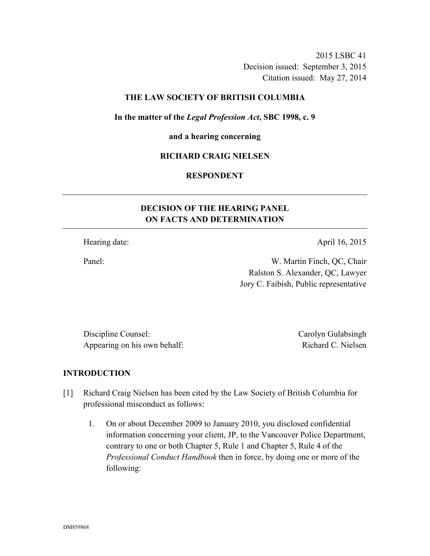2015 LSBC 41 Decision issued: September 3, 2015 Citation issued: May 27, 2014

## **THE LAW SOCIETY OF BRITISH COLUMBIA**

**In the matter of the** *Legal Profession Act***, SBC 1998, c. 9** 

#### **and a hearing concerning**

## **RICHARD CRAIG NIELSEN**

## **RESPONDENT**

# **DECISION OF THE HEARING PANEL ON FACTS AND DETERMINATION**

Hearing date: April 16, 2015

Panel: W. Martin Finch, QC, Chair Ralston S. Alexander, QC, Lawyer Jory C. Faibish, Public representative

Discipline Counsel: Carolyn Gulabsingh Appearing on his own behalf: Richard C. Nielsen

## **INTRODUCTION**

- [1] Richard Craig Nielsen has been cited by the Law Society of British Columbia for professional misconduct as follows:
	- 1. On or about December 2009 to January 2010, you disclosed confidential information concerning your client, JP, to the Vancouver Police Department, contrary to one or both Chapter 5, Rule 1 and Chapter 5, Rule 4 of the *Professional Conduct Handbook* then in force, by doing one or more of the following: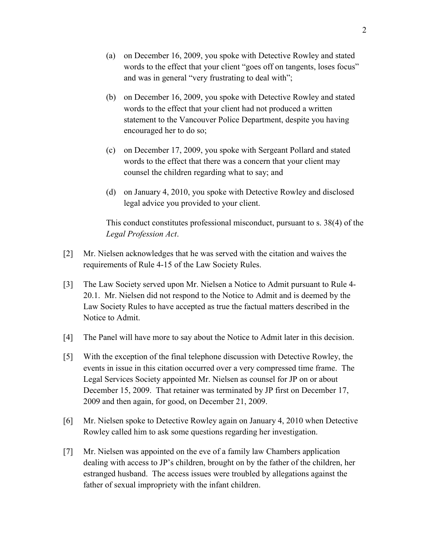- (a) on December 16, 2009, you spoke with Detective Rowley and stated words to the effect that your client "goes off on tangents, loses focus" and was in general "very frustrating to deal with";
- (b) on December 16, 2009, you spoke with Detective Rowley and stated words to the effect that your client had not produced a written statement to the Vancouver Police Department, despite you having encouraged her to do so;
- (c) on December 17, 2009, you spoke with Sergeant Pollard and stated words to the effect that there was a concern that your client may counsel the children regarding what to say; and
- (d) on January 4, 2010, you spoke with Detective Rowley and disclosed legal advice you provided to your client.

This conduct constitutes professional misconduct, pursuant to s. 38(4) of the *Legal Profession Act*.

- [2] Mr. Nielsen acknowledges that he was served with the citation and waives the requirements of Rule 4-15 of the Law Society Rules.
- [3] The Law Society served upon Mr. Nielsen a Notice to Admit pursuant to Rule 4- 20.1. Mr. Nielsen did not respond to the Notice to Admit and is deemed by the Law Society Rules to have accepted as true the factual matters described in the Notice to Admit.
- [4] The Panel will have more to say about the Notice to Admit later in this decision.
- [5] With the exception of the final telephone discussion with Detective Rowley, the events in issue in this citation occurred over a very compressed time frame. The Legal Services Society appointed Mr. Nielsen as counsel for JP on or about December 15, 2009. That retainer was terminated by JP first on December 17, 2009 and then again, for good, on December 21, 2009.
- [6] Mr. Nielsen spoke to Detective Rowley again on January 4, 2010 when Detective Rowley called him to ask some questions regarding her investigation.
- [7] Mr. Nielsen was appointed on the eve of a family law Chambers application dealing with access to JP's children, brought on by the father of the children, her estranged husband. The access issues were troubled by allegations against the father of sexual impropriety with the infant children.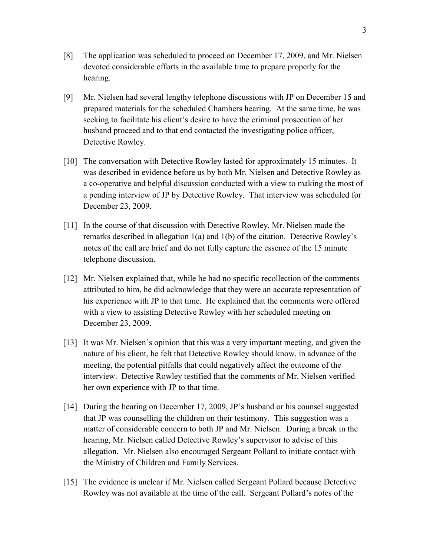- [8] The application was scheduled to proceed on December 17, 2009, and Mr. Nielsen devoted considerable efforts in the available time to prepare properly for the hearing.
- [9] Mr. Nielsen had several lengthy telephone discussions with JP on December 15 and prepared materials for the scheduled Chambers hearing. At the same time, he was seeking to facilitate his client's desire to have the criminal prosecution of her husband proceed and to that end contacted the investigating police officer, Detective Rowley.
- [10] The conversation with Detective Rowley lasted for approximately 15 minutes. It was described in evidence before us by both Mr. Nielsen and Detective Rowley as a co-operative and helpful discussion conducted with a view to making the most of a pending interview of JP by Detective Rowley. That interview was scheduled for December 23, 2009.
- [11] In the course of that discussion with Detective Rowley, Mr. Nielsen made the remarks described in allegation 1(a) and 1(b) of the citation. Detective Rowley's notes of the call are brief and do not fully capture the essence of the 15 minute telephone discussion.
- [12] Mr. Nielsen explained that, while he had no specific recollection of the comments attributed to him, he did acknowledge that they were an accurate representation of his experience with JP to that time. He explained that the comments were offered with a view to assisting Detective Rowley with her scheduled meeting on December 23, 2009.
- [13] It was Mr. Nielsen's opinion that this was a very important meeting, and given the nature of his client, he felt that Detective Rowley should know, in advance of the meeting, the potential pitfalls that could negatively affect the outcome of the interview. Detective Rowley testified that the comments of Mr. Nielsen verified her own experience with JP to that time.
- [14] During the hearing on December 17, 2009, JP's husband or his counsel suggested that JP was counselling the children on their testimony. This suggestion was a matter of considerable concern to both JP and Mr. Nielsen. During a break in the hearing, Mr. Nielsen called Detective Rowley's supervisor to advise of this allegation. Mr. Nielsen also encouraged Sergeant Pollard to initiate contact with the Ministry of Children and Family Services.
- [15] The evidence is unclear if Mr. Nielsen called Sergeant Pollard because Detective Rowley was not available at the time of the call. Sergeant Pollard's notes of the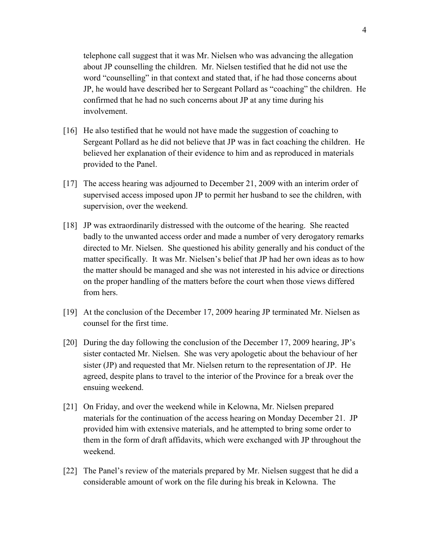telephone call suggest that it was Mr. Nielsen who was advancing the allegation about JP counselling the children. Mr. Nielsen testified that he did not use the word "counselling" in that context and stated that, if he had those concerns about JP, he would have described her to Sergeant Pollard as "coaching" the children. He confirmed that he had no such concerns about JP at any time during his involvement.

- [16] He also testified that he would not have made the suggestion of coaching to Sergeant Pollard as he did not believe that JP was in fact coaching the children. He believed her explanation of their evidence to him and as reproduced in materials provided to the Panel.
- [17] The access hearing was adjourned to December 21, 2009 with an interim order of supervised access imposed upon JP to permit her husband to see the children, with supervision, over the weekend.
- [18] JP was extraordinarily distressed with the outcome of the hearing. She reacted badly to the unwanted access order and made a number of very derogatory remarks directed to Mr. Nielsen. She questioned his ability generally and his conduct of the matter specifically. It was Mr. Nielsen's belief that JP had her own ideas as to how the matter should be managed and she was not interested in his advice or directions on the proper handling of the matters before the court when those views differed from hers.
- [19] At the conclusion of the December 17, 2009 hearing JP terminated Mr. Nielsen as counsel for the first time.
- [20] During the day following the conclusion of the December 17, 2009 hearing, JP's sister contacted Mr. Nielsen. She was very apologetic about the behaviour of her sister (JP) and requested that Mr. Nielsen return to the representation of JP. He agreed, despite plans to travel to the interior of the Province for a break over the ensuing weekend.
- [21] On Friday, and over the weekend while in Kelowna, Mr. Nielsen prepared materials for the continuation of the access hearing on Monday December 21. JP provided him with extensive materials, and he attempted to bring some order to them in the form of draft affidavits, which were exchanged with JP throughout the weekend.
- [22] The Panel's review of the materials prepared by Mr. Nielsen suggest that he did a considerable amount of work on the file during his break in Kelowna. The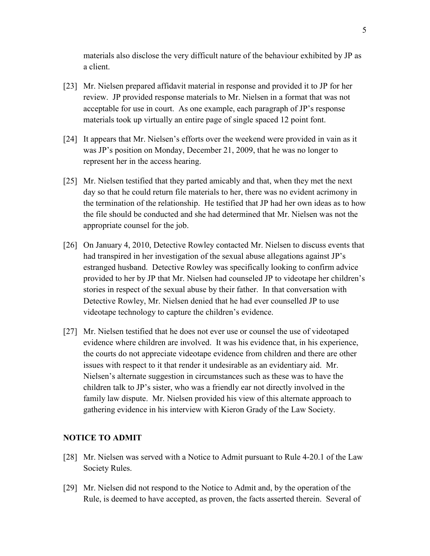materials also disclose the very difficult nature of the behaviour exhibited by JP as a client.

- [23] Mr. Nielsen prepared affidavit material in response and provided it to JP for her review. JP provided response materials to Mr. Nielsen in a format that was not acceptable for use in court. As one example, each paragraph of JP's response materials took up virtually an entire page of single spaced 12 point font.
- [24] It appears that Mr. Nielsen's efforts over the weekend were provided in vain as it was JP's position on Monday, December 21, 2009, that he was no longer to represent her in the access hearing.
- [25] Mr. Nielsen testified that they parted amicably and that, when they met the next day so that he could return file materials to her, there was no evident acrimony in the termination of the relationship. He testified that JP had her own ideas as to how the file should be conducted and she had determined that Mr. Nielsen was not the appropriate counsel for the job.
- [26] On January 4, 2010, Detective Rowley contacted Mr. Nielsen to discuss events that had transpired in her investigation of the sexual abuse allegations against JP's estranged husband. Detective Rowley was specifically looking to confirm advice provided to her by JP that Mr. Nielsen had counseled JP to videotape her children's stories in respect of the sexual abuse by their father. In that conversation with Detective Rowley, Mr. Nielsen denied that he had ever counselled JP to use videotape technology to capture the children's evidence.
- [27] Mr. Nielsen testified that he does not ever use or counsel the use of videotaped evidence where children are involved. It was his evidence that, in his experience, the courts do not appreciate videotape evidence from children and there are other issues with respect to it that render it undesirable as an evidentiary aid. Mr. Nielsen's alternate suggestion in circumstances such as these was to have the children talk to JP's sister, who was a friendly ear not directly involved in the family law dispute. Mr. Nielsen provided his view of this alternate approach to gathering evidence in his interview with Kieron Grady of the Law Society.

## **NOTICE TO ADMIT**

- [28] Mr. Nielsen was served with a Notice to Admit pursuant to Rule 4-20.1 of the Law Society Rules.
- [29] Mr. Nielsen did not respond to the Notice to Admit and, by the operation of the Rule, is deemed to have accepted, as proven, the facts asserted therein. Several of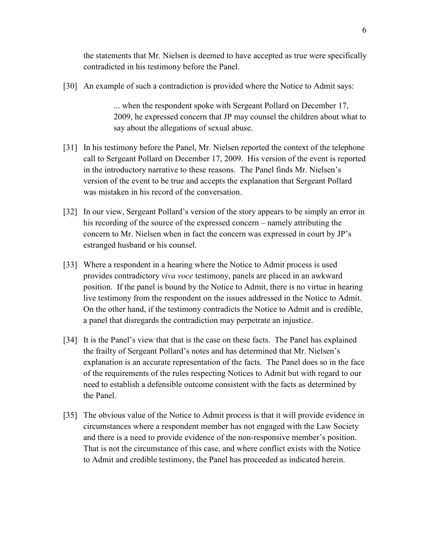the statements that Mr. Nielsen is deemed to have accepted as true were specifically contradicted in his testimony before the Panel.

[30] An example of such a contradiction is provided where the Notice to Admit says:

... when the respondent spoke with Sergeant Pollard on December 17, 2009, he expressed concern that JP may counsel the children about what to say about the allegations of sexual abuse.

- [31] In his testimony before the Panel, Mr. Nielsen reported the context of the telephone call to Sergeant Pollard on December 17, 2009. His version of the event is reported in the introductory narrative to these reasons. The Panel finds Mr. Nielsen's version of the event to be true and accepts the explanation that Sergeant Pollard was mistaken in his record of the conversation.
- [32] In our view, Sergeant Pollard's version of the story appears to be simply an error in his recording of the source of the expressed concern – namely attributing the concern to Mr. Nielsen when in fact the concern was expressed in court by JP's estranged husband or his counsel.
- [33] Where a respondent in a hearing where the Notice to Admit process is used provides contradictory *viva voce* testimony, panels are placed in an awkward position. If the panel is bound by the Notice to Admit, there is no virtue in hearing live testimony from the respondent on the issues addressed in the Notice to Admit. On the other hand, if the testimony contradicts the Notice to Admit and is credible, a panel that disregards the contradiction may perpetrate an injustice.
- [34] It is the Panel's view that that is the case on these facts. The Panel has explained the frailty of Sergeant Pollard's notes and has determined that Mr. Nielsen's explanation is an accurate representation of the facts. The Panel does so in the face of the requirements of the rules respecting Notices to Admit but with regard to our need to establish a defensible outcome consistent with the facts as determined by the Panel.
- [35] The obvious value of the Notice to Admit process is that it will provide evidence in circumstances where a respondent member has not engaged with the Law Society and there is a need to provide evidence of the non-responsive member's position. That is not the circumstance of this case, and where conflict exists with the Notice to Admit and credible testimony, the Panel has proceeded as indicated herein.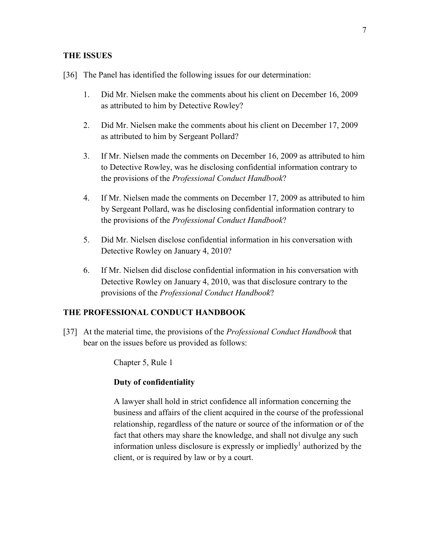#### **THE ISSUES**

- [36] The Panel has identified the following issues for our determination:
	- 1. Did Mr. Nielsen make the comments about his client on December 16, 2009 as attributed to him by Detective Rowley?
	- 2. Did Mr. Nielsen make the comments about his client on December 17, 2009 as attributed to him by Sergeant Pollard?
	- 3. If Mr. Nielsen made the comments on December 16, 2009 as attributed to him to Detective Rowley, was he disclosing confidential information contrary to the provisions of the *Professional Conduct Handbook*?
	- 4. If Mr. Nielsen made the comments on December 17, 2009 as attributed to him by Sergeant Pollard, was he disclosing confidential information contrary to the provisions of the *Professional Conduct Handbook*?
	- 5. Did Mr. Nielsen disclose confidential information in his conversation with Detective Rowley on January 4, 2010?
	- 6. If Mr. Nielsen did disclose confidential information in his conversation with Detective Rowley on January 4, 2010, was that disclosure contrary to the provisions of the *Professional Conduct Handbook*?

## **THE PROFESSIONAL CONDUCT HANDBOOK**

[37] At the material time, the provisions of the *Professional Conduct Handbook* that bear on the issues before us provided as follows:

Chapter 5, Rule 1

## **Duty of confidentiality**

A lawyer shall hold in strict confidence all information concerning the business and affairs of the client acquired in the course of the professional relationship, regardless of the nature or source of the information or of the fact that others may share the knowledge, and shall not divulge any such information unless disclosure is expressly or impliedly<sup>1</sup> authorized by the client, or is required by law or by a court.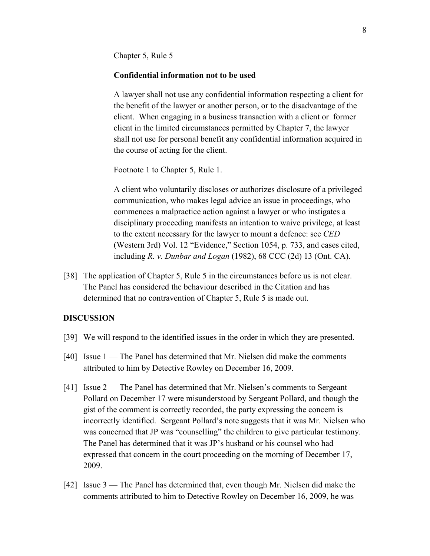Chapter 5, Rule 5

#### **Confidential information not to be used**

A lawyer shall not use any confidential information respecting a client for the benefit of the lawyer or another person, or to the disadvantage of the client. When engaging in a business transaction with a client or former client in the limited circumstances permitted by Chapter 7, the lawyer shall not use for personal benefit any confidential information acquired in the course of acting for the client.

Footnote 1 to Chapter 5, Rule 1.

A client who voluntarily discloses or authorizes disclosure of a privileged communication, who makes legal advice an issue in proceedings, who commences a malpractice action against a lawyer or who instigates a disciplinary proceeding manifests an intention to waive privilege, at least to the extent necessary for the lawyer to mount a defence: see *CED* (Western 3rd) Vol. 12 "Evidence," Section 1054, p. 733, and cases cited, including *R. v. Dunbar and Logan* (1982), 68 CCC (2d) 13 (Ont. CA).

[38] The application of Chapter 5, Rule 5 in the circumstances before us is not clear. The Panel has considered the behaviour described in the Citation and has determined that no contravention of Chapter 5, Rule 5 is made out.

#### **DISCUSSION**

- [39] We will respond to the identified issues in the order in which they are presented.
- [40] Issue 1 The Panel has determined that Mr. Nielsen did make the comments attributed to him by Detective Rowley on December 16, 2009.
- [41] Issue 2 The Panel has determined that Mr. Nielsen's comments to Sergeant Pollard on December 17 were misunderstood by Sergeant Pollard, and though the gist of the comment is correctly recorded, the party expressing the concern is incorrectly identified. Sergeant Pollard's note suggests that it was Mr. Nielsen who was concerned that JP was "counselling" the children to give particular testimony. The Panel has determined that it was JP's husband or his counsel who had expressed that concern in the court proceeding on the morning of December 17, 2009.
- [42] Issue 3 The Panel has determined that, even though Mr. Nielsen did make the comments attributed to him to Detective Rowley on December 16, 2009, he was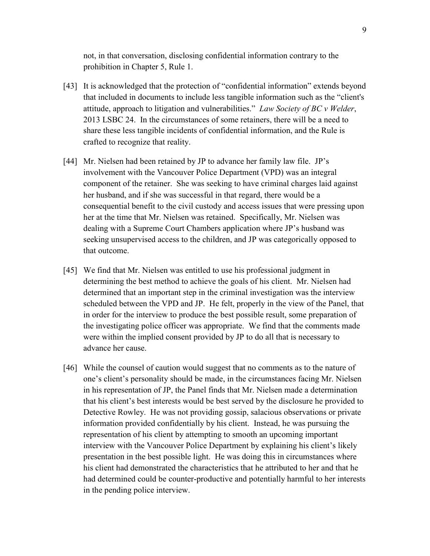not, in that conversation, disclosing confidential information contrary to the prohibition in Chapter 5, Rule 1.

- [43] It is acknowledged that the protection of "confidential information" extends beyond that included in documents to include less tangible information such as the "client's attitude, approach to litigation and vulnerabilities." *Law Society of BC v Welder*, 2013 LSBC 24. In the circumstances of some retainers, there will be a need to share these less tangible incidents of confidential information, and the Rule is crafted to recognize that reality.
- [44] Mr. Nielsen had been retained by JP to advance her family law file. JP's involvement with the Vancouver Police Department (VPD) was an integral component of the retainer. She was seeking to have criminal charges laid against her husband, and if she was successful in that regard, there would be a consequential benefit to the civil custody and access issues that were pressing upon her at the time that Mr. Nielsen was retained. Specifically, Mr. Nielsen was dealing with a Supreme Court Chambers application where JP's husband was seeking unsupervised access to the children, and JP was categorically opposed to that outcome.
- [45] We find that Mr. Nielsen was entitled to use his professional judgment in determining the best method to achieve the goals of his client. Mr. Nielsen had determined that an important step in the criminal investigation was the interview scheduled between the VPD and JP. He felt, properly in the view of the Panel, that in order for the interview to produce the best possible result, some preparation of the investigating police officer was appropriate. We find that the comments made were within the implied consent provided by JP to do all that is necessary to advance her cause.
- [46] While the counsel of caution would suggest that no comments as to the nature of one's client's personality should be made, in the circumstances facing Mr. Nielsen in his representation of JP, the Panel finds that Mr. Nielsen made a determination that his client's best interests would be best served by the disclosure he provided to Detective Rowley. He was not providing gossip, salacious observations or private information provided confidentially by his client. Instead, he was pursuing the representation of his client by attempting to smooth an upcoming important interview with the Vancouver Police Department by explaining his client's likely presentation in the best possible light. He was doing this in circumstances where his client had demonstrated the characteristics that he attributed to her and that he had determined could be counter-productive and potentially harmful to her interests in the pending police interview.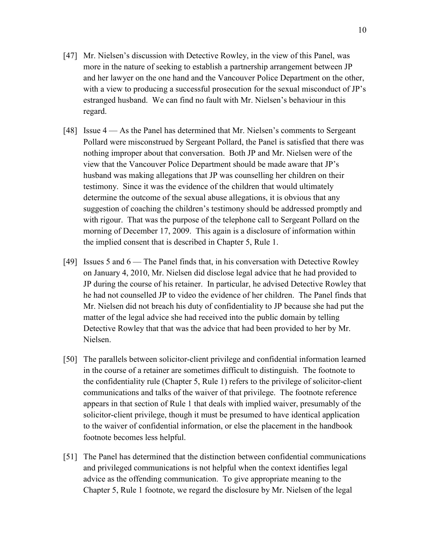- [47] Mr. Nielsen's discussion with Detective Rowley, in the view of this Panel, was more in the nature of seeking to establish a partnership arrangement between JP and her lawyer on the one hand and the Vancouver Police Department on the other, with a view to producing a successful prosecution for the sexual misconduct of JP's estranged husband. We can find no fault with Mr. Nielsen's behaviour in this regard.
- [48] Issue 4 As the Panel has determined that Mr. Nielsen's comments to Sergeant Pollard were misconstrued by Sergeant Pollard, the Panel is satisfied that there was nothing improper about that conversation. Both JP and Mr. Nielsen were of the view that the Vancouver Police Department should be made aware that JP's husband was making allegations that JP was counselling her children on their testimony. Since it was the evidence of the children that would ultimately determine the outcome of the sexual abuse allegations, it is obvious that any suggestion of coaching the children's testimony should be addressed promptly and with rigour. That was the purpose of the telephone call to Sergeant Pollard on the morning of December 17, 2009. This again is a disclosure of information within the implied consent that is described in Chapter 5, Rule 1.
- [49] Issues 5 and 6 The Panel finds that, in his conversation with Detective Rowley on January 4, 2010, Mr. Nielsen did disclose legal advice that he had provided to JP during the course of his retainer. In particular, he advised Detective Rowley that he had not counselled JP to video the evidence of her children. The Panel finds that Mr. Nielsen did not breach his duty of confidentiality to JP because she had put the matter of the legal advice she had received into the public domain by telling Detective Rowley that that was the advice that had been provided to her by Mr. Nielsen.
- [50] The parallels between solicitor-client privilege and confidential information learned in the course of a retainer are sometimes difficult to distinguish. The footnote to the confidentiality rule (Chapter 5, Rule 1) refers to the privilege of solicitor-client communications and talks of the waiver of that privilege. The footnote reference appears in that section of Rule 1 that deals with implied waiver, presumably of the solicitor-client privilege, though it must be presumed to have identical application to the waiver of confidential information, or else the placement in the handbook footnote becomes less helpful.
- [51] The Panel has determined that the distinction between confidential communications and privileged communications is not helpful when the context identifies legal advice as the offending communication. To give appropriate meaning to the Chapter 5, Rule 1 footnote, we regard the disclosure by Mr. Nielsen of the legal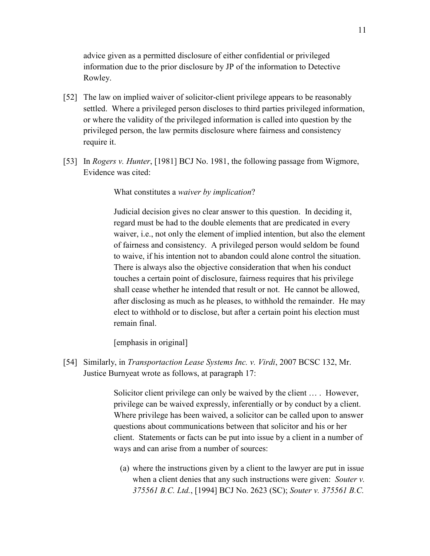advice given as a permitted disclosure of either confidential or privileged information due to the prior disclosure by JP of the information to Detective Rowley.

- [52] The law on implied waiver of solicitor-client privilege appears to be reasonably settled. Where a privileged person discloses to third parties privileged information, or where the validity of the privileged information is called into question by the privileged person, the law permits disclosure where fairness and consistency require it.
- [53] In *Rogers v. Hunter*, [1981] BCJ No. 1981, the following passage from Wigmore, Evidence was cited:

What constitutes a *waiver by implication*?

Judicial decision gives no clear answer to this question. In deciding it, regard must be had to the double elements that are predicated in every waiver, i.e., not only the element of implied intention, but also the element of fairness and consistency. A privileged person would seldom be found to waive, if his intention not to abandon could alone control the situation. There is always also the objective consideration that when his conduct touches a certain point of disclosure, fairness requires that his privilege shall cease whether he intended that result or not. He cannot be allowed, after disclosing as much as he pleases, to withhold the remainder. He may elect to withhold or to disclose, but after a certain point his election must remain final.

[emphasis in original]

[54] Similarly, in *Transportaction Lease Systems Inc. v. Virdi*, 2007 BCSC 132, Mr. Justice Burnyeat wrote as follows, at paragraph 17:

> Solicitor client privilege can only be waived by the client … . However, privilege can be waived expressly, inferentially or by conduct by a client. Where privilege has been waived, a solicitor can be called upon to answer questions about communications between that solicitor and his or her client. Statements or facts can be put into issue by a client in a number of ways and can arise from a number of sources:

(a) where the instructions given by a client to the lawyer are put in issue when a client denies that any such instructions were given: *Souter v. 375561 B.C. Ltd.*, [1994] BCJ No. 2623 (SC); *Souter v. 375561 B.C.*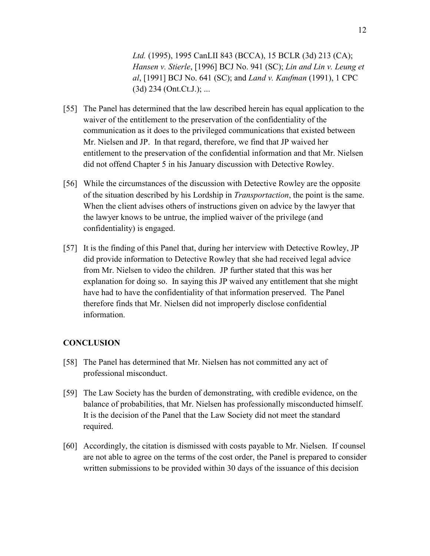*Ltd.* (1995), 1995 CanLII 843 (BCCA), 15 BCLR (3d) 213 (CA); *Hansen v. Stierle*, [1996] BCJ No. 941 (SC); *Lin and Lin v. Leung et al*, [1991] BCJ No. 641 (SC); and *Land v. Kaufman* (1991), 1 CPC  $(3d)$  234 (Ont.Ct.J.); ...

- [55] The Panel has determined that the law described herein has equal application to the waiver of the entitlement to the preservation of the confidentiality of the communication as it does to the privileged communications that existed between Mr. Nielsen and JP. In that regard, therefore, we find that JP waived her entitlement to the preservation of the confidential information and that Mr. Nielsen did not offend Chapter 5 in his January discussion with Detective Rowley.
- [56] While the circumstances of the discussion with Detective Rowley are the opposite of the situation described by his Lordship in *Transportaction*, the point is the same. When the client advises others of instructions given on advice by the lawyer that the lawyer knows to be untrue, the implied waiver of the privilege (and confidentiality) is engaged.
- [57] It is the finding of this Panel that, during her interview with Detective Rowley, JP did provide information to Detective Rowley that she had received legal advice from Mr. Nielsen to video the children. JP further stated that this was her explanation for doing so. In saying this JP waived any entitlement that she might have had to have the confidentiality of that information preserved. The Panel therefore finds that Mr. Nielsen did not improperly disclose confidential information.

#### **CONCLUSION**

- [58] The Panel has determined that Mr. Nielsen has not committed any act of professional misconduct.
- [59] The Law Society has the burden of demonstrating, with credible evidence, on the balance of probabilities, that Mr. Nielsen has professionally misconducted himself. It is the decision of the Panel that the Law Society did not meet the standard required.
- [60] Accordingly, the citation is dismissed with costs payable to Mr. Nielsen. If counsel are not able to agree on the terms of the cost order, the Panel is prepared to consider written submissions to be provided within 30 days of the issuance of this decision